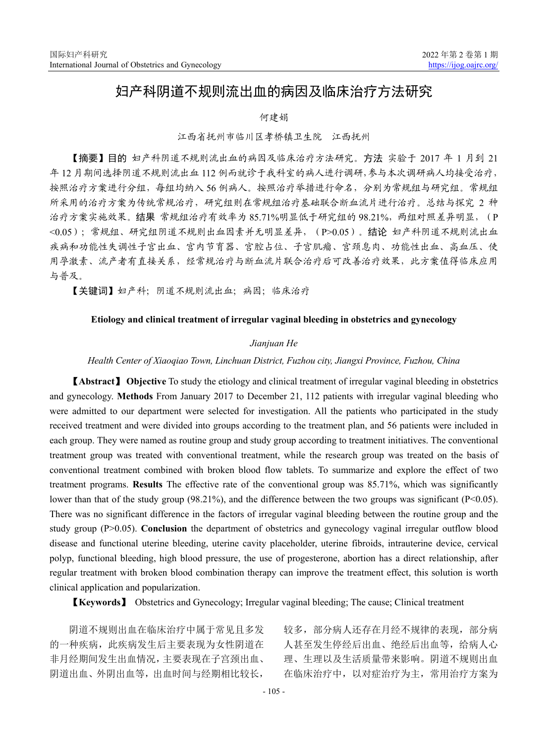# 妇产科阴道不规则流出血的病因及临床治疗方法研究

## 何建娟

## 江西省抚州市临川区孝桥镇卫生院 江西抚州

【摘要】目的 妇产科阴道不规则流出血的病因及临床治疗方法研究。方法 实验于 2017 年 1 月到 21 年 12 月期间选择阴道不规则流出血 112 例而就诊于我科室的病人进行调研,参与本次调研病人均接受治疗, 按照治疗方案进行分组,每组均纳入 56 例病人。按照治疗举措进行命名,分别为常规组与研究组。常规组 所采用的治疗方案为传统常规治疗,研究组则在常规组治疗基础联合断血流片进行治疗。总结与探究 2 种 治疗方案实施效果。结果 常规组治疗有效率为 85.71%明显低于研究组的 98.21%, 两组对照差异明显, (P <0.05);常规组、研究组阴道不规则出血因素并无明显差异,(P>0.05)。结论 妇产科阴道不规则流出血 疾病和功能性失调性子宫出血、宫内节育器、宫腔占位、子宫肌瘤、宫颈息肉、功能性出血、高血压、使 用孕激素、流产者有直接关系,经常规治疗与断血流片联合治疗后可改善治疗效果,此方案值得临床应用 与普及。

【关键词】妇产科;阴道不规则流出血;病因;临床治疗

#### **Etiology and clinical treatment of irregular vaginal bleeding in obstetrics and gynecology**

## *Jianjuan He*

#### *Health Center of Xiaoqiao Town, Linchuan District, Fuzhou city, Jiangxi Province, Fuzhou, China*

【**Abstract**】 **Objective** To study the etiology and clinical treatment of irregular vaginal bleeding in obstetrics and gynecology. **Methods** From January 2017 to December 21, 112 patients with irregular vaginal bleeding who were admitted to our department were selected for investigation. All the patients who participated in the study received treatment and were divided into groups according to the treatment plan, and 56 patients were included in each group. They were named as routine group and study group according to treatment initiatives. The conventional treatment group was treated with conventional treatment, while the research group was treated on the basis of conventional treatment combined with broken blood flow tablets. To summarize and explore the effect of two treatment programs. **Results** The effective rate of the conventional group was 85.71%, which was significantly lower than that of the study group (98.21%), and the difference between the two groups was significant (P<0.05). There was no significant difference in the factors of irregular vaginal bleeding between the routine group and the study group (P>0.05). **Conclusion** the department of obstetrics and gynecology vaginal irregular outflow blood disease and functional uterine bleeding, uterine cavity placeholder, uterine fibroids, intrauterine device, cervical polyp, functional bleeding, high blood pressure, the use of progesterone, abortion has a direct relationship, after regular treatment with broken blood combination therapy can improve the treatment effect, this solution is worth clinical application and popularization.

【**Keywords**】 Obstetrics and Gynecology; Irregular vaginal bleeding; The cause; Clinical treatment

阴道不规则出血在临床治疗中属于常见且多发 的一种疾病,此疾病发生后主要表现为女性阴道在 非月经期间发生出血情况,主要表现在子宫颈出血、 阴道出血、外阴出血等,出血时间与经期相比较长,

较多,部分病人还存在月经不规律的表现,部分病 人甚至发生停经后出血、绝经后出血等,给病人心 理、生理以及生活质量带来影响。阴道不规则出血 在临床治疗中,以对症治疗为主,常用治疗方案为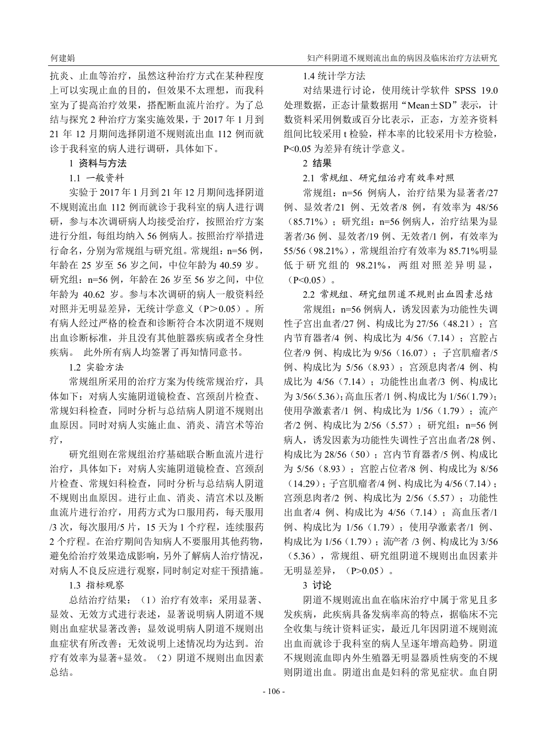抗炎、止血等治疗,虽然这种治疗方式在某种程度 上可以实现止血的目的,但效果不太理想,而我科 室为了提高治疗效果,搭配断血流片治疗。为了总 结与探究 2 种治疗方案实施效果,于 2017 年 1 月到 21 年 12 月期间选择阴道不规则流出血 112 例而就 诊于我科室的病人进行调研,具体如下。

1 资料与方法

## 1.1 一般资料

实验于 2017 年 1 月到 21 年 12 月期间选择阴道 不规则流出血 112 例而就诊于我科室的病人进行调 研,参与本次调研病人均接受治疗,按照治疗方案 进行分组,每组均纳入 56 例病人。按照治疗举措进 行命名,分别为常规组与研究组。常规组:n=56 例, 年龄在 25 岁至 56 岁之间,中位年龄为 40.59 岁。 研究组: n=56 例, 年龄在 26 岁至 56 岁之间, 中位 年龄为 40.62 岁。参与本次调研的病人一般资料经 对照并无明显差异,无统计学意义(P>0.05)。所 有病人经过严格的检查和诊断符合本次阴道不规则 出血诊断标准,并且没有其他脏器疾病或者全身性 疾病。 此外所有病人均签署了再知情同意书。

1.2 实验方法

常规组所采用的治疗方案为传统常规治疗,具 体如下:对病人实施阴道镜检查、宫颈刮片检查、 常规妇科检查,同时分析与总结病人阴道不规则出 血原因。同时对病人实施止血、消炎、清宫术等治 疗,

研究组则在常规组治疗基础联合断血流片进行 治疗,具体如下:对病人实施阴道镜检查、宫颈刮 片检查、常规妇科检查,同时分析与总结病人阴道 不规则出血原因。进行止血、消炎、清宫术以及断 血流片进行治疗,用药方式为口服用药,每天服用 /3 次,每次服用/5 片,15 天为 1 个疗程,连续服药 2 个疗程。在治疗期间告知病人不要服用其他药物, 避免给治疗效果造成影响,另外了解病人治疗情况, 对病人不良反应进行观察,同时制定对症干预措施。

1.3 指标观察

总结治疗结果:(1)治疗有效率:采用显著、 显效、无效方式进行表述,显著说明病人阴道不规 则出血症状显著改善;显效说明病人阴道不规则出 血症状有所改善;无效说明上述情况均为达到。治 疗有效率为显著+显效。(2)阴道不规则出血因素 总结。

# 1.4 统计学方法

对结果进行讨论,使用统计学软件 SPSS 19.0 处理数据,正态计量数据用"Mean±SD"表示,计 数资料采用例数或百分比表示,正态,方差齐资料 组间比较采用 t 检验, 样本率的比较采用卡方检验, P<0.05 为差异有统计学意义。

2 结果

2.1 常规组、研究组治疗有效率对照

常规组: n=56 例病人, 治疗结果为显著者/27 例、显效者/21 例、无效者/8 例,有效率为 48/56 (85.71%);研究组:n=56 例病人,治疗结果为显 著者/36 例、显效者/19 例、无效者/1 例,有效率为 55/56(98.21%),常规组治疗有效率为 85.71%明显 低于研究组的 98.21%, 两组对照差异明显,  $(P<0.05)$ 

2.2 常规组、研究组阴道不规则出血因素总结

常规组: n=56 例病人, 诱发因素为功能性失调 性子宫出血者/27 例、构成比为 27/56 (48.21); 宫 内节育器者/4 例、构成比为 4/56(7.14);宫腔占 位者/9 例、构成比为 9/56 (16.07); 子宫肌瘤者/5 例、构成比为 5/56 (8.93); 宫颈息肉者/4 例、构 成比为 4/56 (7.14): 功能性出血者/3 例、构成比 为 3/56(5.36);高血压者/1 例、构成比为 1/56(1.79); 使用孕激素者/1 例、构成比为 1/56(1.79);流产 者/2 例、构成比为 2/56 (5.57); 研究组: n=56 例 病人,诱发因素为功能性失调性子宫出血者/28 例、 构成比为 28/56(50);宫内节育器者/5 例、构成比 为 5/56(8.93);宫腔占位者/8 例、构成比为 8/56 (14.29);子宫肌瘤者/4 例、构成比为 4/56(7.14); 宫颈息肉者/2 例、构成比为 2/56 (5.57): 功能性 出血者/4 例、构成比为 4/56(7.14);高血压者/1 例、构成比为 1/56(1.79);使用孕激素者/1 例、 构成比为 1/56(1.79);流产者 /3 例、构成比为 3/56 (5.36),常规组、研究组阴道不规则出血因素并 无明显差异, (P>0.05)。

3 讨论

阴道不规则流出血在临床治疗中属于常见且多 发疾病,此疾病具备发病率高的特点,据临床不完 全收集与统计资料证实,最近几年因阴道不规则流 出血而就诊于我科室的病人呈逐年增高趋势。阴道 不规则流血即内外生殖器无明显器质性病变的不规 则阴道出血。阴道出血是妇科的常见症状。血自阴